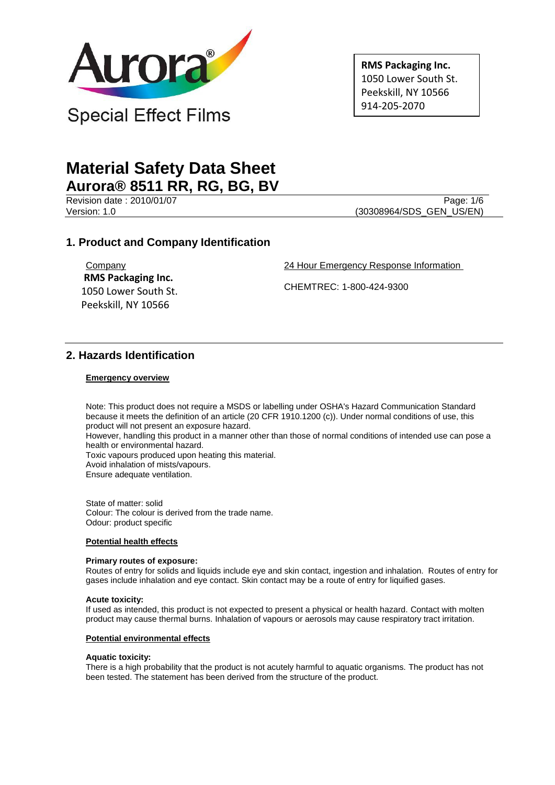

**RMS Packaging Inc.** 1050 Lower South St. Peekskill, NY 10566 914-205-2070

# **Material Safety Data Sheet Aurora® 8511 RR, RG, BG, BV**

Revision date : 2010/01/07 Page: 1/6

Version: 1.0 (30308964/SDS\_GEN\_US/EN)

## **1. Product and Company Identification**

**Company RMS Packaging Inc.** 1050 Lower South St. Peekskill, NY 10566

24 Hour Emergency Response Information

CHEMTREC: 1-800-424-9300

# **2. Hazards Identification**

## **Emergency overview**

Note: This product does not require a MSDS or labelling under OSHA's Hazard Communication Standard because it meets the definition of an article (20 CFR 1910.1200 (c)). Under normal conditions of use, this product will not present an exposure hazard.

However, handling this product in a manner other than those of normal conditions of intended use can pose a health or environmental hazard.

Toxic vapours produced upon heating this material.

Avoid inhalation of mists/vapours.

Ensure adequate ventilation.

State of matter: solid Colour: The colour is derived from the trade name. Odour: product specific

## **Potential health effects**

#### **Primary routes of exposure:**

Routes of entry for solids and liquids include eye and skin contact, ingestion and inhalation. Routes of entry for gases include inhalation and eye contact. Skin contact may be a route of entry for liquified gases.

#### **Acute toxicity:**

If used as intended, this product is not expected to present a physical or health hazard. Contact with molten product may cause thermal burns. Inhalation of vapours or aerosols may cause respiratory tract irritation.

#### **Potential environmental effects**

#### **Aquatic toxicity:**

There is a high probability that the product is not acutely harmful to aquatic organisms. The product has not been tested. The statement has been derived from the structure of the product.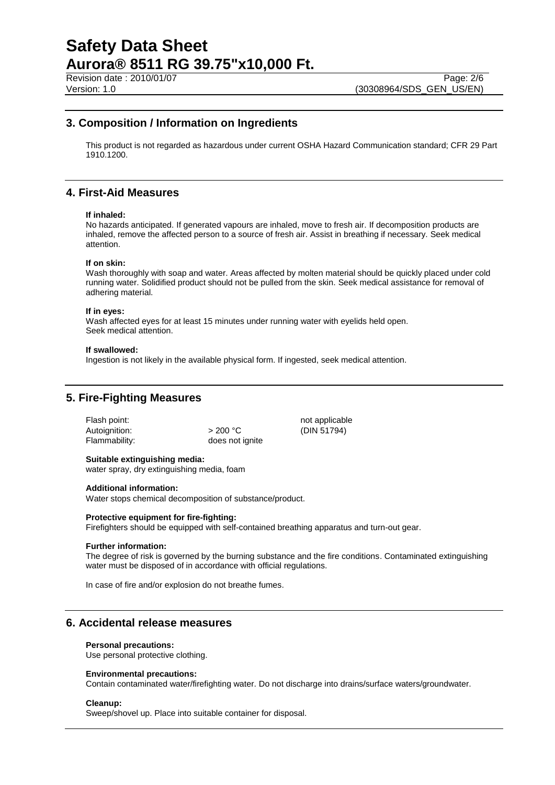Revision date : 2010/01/07 Page: 2/6<br>Version: 1.0 (30308964/SDS GEN US/EN)

## **3. Composition / Information on Ingredients**

This product is not regarded as hazardous under current OSHA Hazard Communication standard; CFR 29 Part 1910.1200.

## **4. First-Aid Measures**

#### **If inhaled:**

No hazards anticipated. If generated vapours are inhaled, move to fresh air. If decomposition products are inhaled, remove the affected person to a source of fresh air. Assist in breathing if necessary. Seek medical attention.

#### **If on skin:**

Wash thoroughly with soap and water. Areas affected by molten material should be quickly placed under cold running water. Solidified product should not be pulled from the skin. Seek medical assistance for removal of adhering material.

#### **If in eyes:**

Wash affected eyes for at least 15 minutes under running water with eyelids held open. Seek medical attention.

#### **If swallowed:**

Ingestion is not likely in the available physical form. If ingested, seek medical attention.

## **5. Fire-Fighting Measures**

Flash point: not applicable not applicable Autoignition:  $> 200 °C$  (DIN 51794)<br>Flammability: does not ignite

does not ignite

## **Suitable extinguishing media:**

water spray, dry extinguishing media, foam

#### **Additional information:**

Water stops chemical decomposition of substance/product.

#### **Protective equipment for fire-fighting:**

Firefighters should be equipped with self-contained breathing apparatus and turn-out gear.

#### **Further information:**

The degree of risk is governed by the burning substance and the fire conditions. Contaminated extinguishing water must be disposed of in accordance with official regulations.

In case of fire and/or explosion do not breathe fumes.

## **6. Accidental release measures**

#### **Personal precautions:**

Use personal protective clothing.

#### **Environmental precautions:**

Contain contaminated water/firefighting water. Do not discharge into drains/surface waters/groundwater.

#### **Cleanup:**

Sweep/shovel up. Place into suitable container for disposal.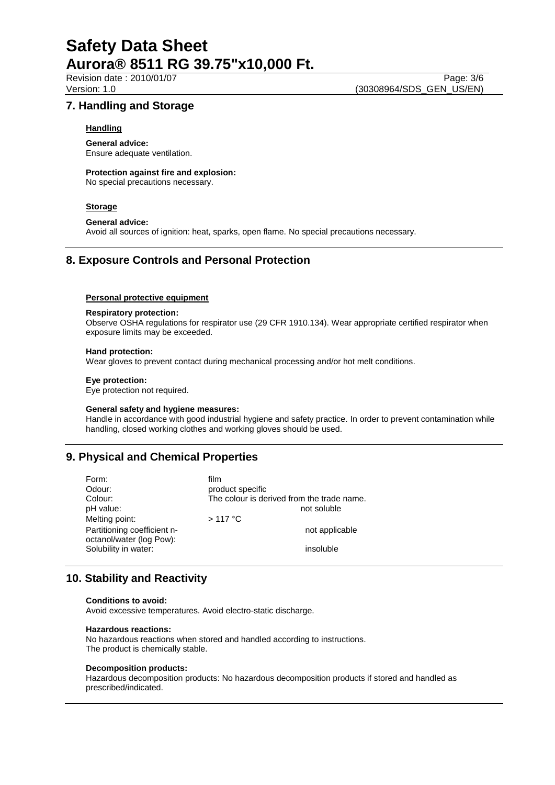Revision date : 2010/01/07 Page: 3/6<br>Version: 1.0 (30308964/SDS GEN US/EN) (30308964/SDS\_GEN\_US/EN)

## **7. Handling and Storage**

### **Handling**

**General advice:** Ensure adequate ventilation.

**Protection against fire and explosion:**

No special precautions necessary.

## **Storage**

### **General advice:**

Avoid all sources of ignition: heat, sparks, open flame. No special precautions necessary.

## **8. Exposure Controls and Personal Protection**

### **Personal protective equipment**

### **Respiratory protection:**

Observe OSHA regulations for respirator use (29 CFR 1910.134). Wear appropriate certified respirator when exposure limits may be exceeded.

### **Hand protection:**

Wear gloves to prevent contact during mechanical processing and/or hot melt conditions.

#### **Eye protection:**

Eye protection not required.

#### **General safety and hygiene measures:**

Handle in accordance with good industrial hygiene and safety practice. In order to prevent contamination while handling, closed working clothes and working gloves should be used.

# **9. Physical and Chemical Properties**

| Form:                       | film                                       |
|-----------------------------|--------------------------------------------|
| Odour:                      | product specific                           |
| Colour:                     | The colour is derived from the trade name. |
| pH value:                   | not soluble                                |
| Melting point:              | $>117$ °C                                  |
| Partitioning coefficient n- | not applicable                             |
| octanol/water (log Pow):    |                                            |
| Solubility in water:        | insoluble                                  |

# **10. Stability and Reactivity**

#### **Conditions to avoid:**

Avoid excessive temperatures. Avoid electro-static discharge.

#### **Hazardous reactions:**

No hazardous reactions when stored and handled according to instructions. The product is chemically stable.

#### **Decomposition products:**

Hazardous decomposition products: No hazardous decomposition products if stored and handled as prescribed/indicated.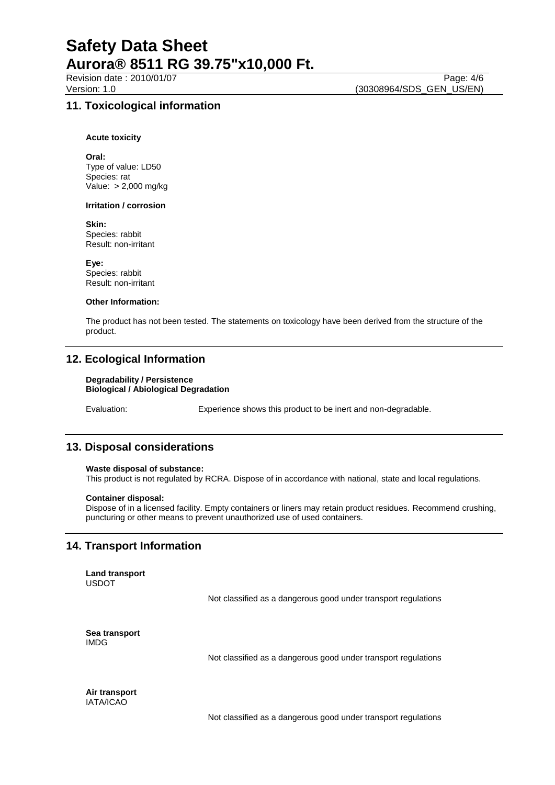## Revision date : 2010/01/07 Page: 4/6<br>Version: 1.0 (30308964/SDS GEN US/EN) (30308964/SDS\_GEN\_US/EN)

## **11. Toxicological information**

#### **Acute toxicity**

**Oral:** Type of value: LD50 Species: rat Value: > 2,000 mg/kg

#### **Irritation / corrosion**

**Skin:** Species: rabbit Result: non-irritant

**Eye:** Species: rabbit Result: non-irritant

### **Other Information:**

The product has not been tested. The statements on toxicology have been derived from the structure of the product.

# **12. Ecological Information**

#### **Degradability / Persistence Biological / Abiological Degradation**

Evaluation: Experience shows this product to be inert and non-degradable.

## **13. Disposal considerations**

#### **Waste disposal of substance:**

This product is not regulated by RCRA. Dispose of in accordance with national, state and local regulations.

#### **Container disposal:**

Dispose of in a licensed facility. Empty containers or liners may retain product residues. Recommend crushing, puncturing or other means to prevent unauthorized use of used containers.

## **14. Transport Information**

**Land transport** USDOT

Not classified as a dangerous good under transport regulations

**Sea transport** IMDG

Not classified as a dangerous good under transport regulations

**Air transport** IATA/ICAO

Not classified as a dangerous good under transport regulations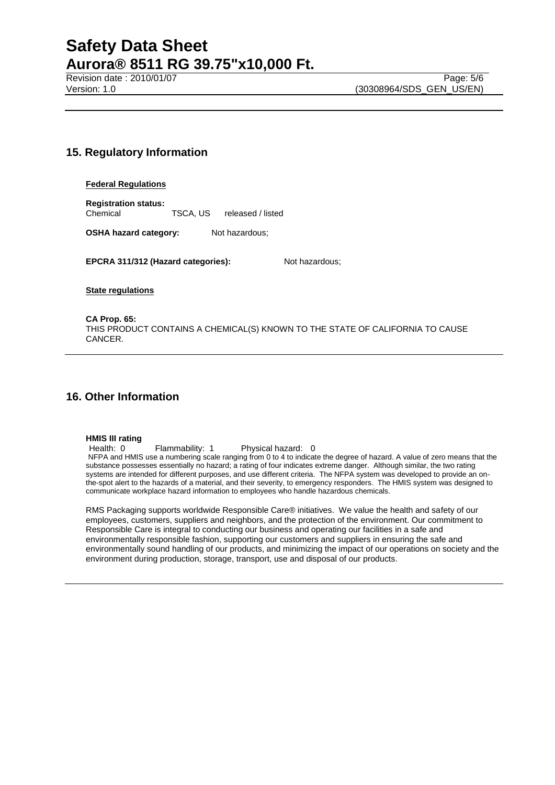## **15. Regulatory Information**

#### **Federal Regulations**

**Registration status:** Chemical TSCA, US released / listed

**OSHA hazard category:** Not hazardous;

**EPCRA 311/312 (Hazard categories):** Not hazardous;

**State regulations**

**CA Prop. 65:** THIS PRODUCT CONTAINS A CHEMICAL(S) KNOWN TO THE STATE OF CALIFORNIA TO CAUSE CANCER.

# **16. Other Information**

## **HMIS III rating**

Health: 0 Flammability: 1 Physical hazard: 0 NFPA and HMIS use a numbering scale ranging from 0 to 4 to indicate the degree of hazard. A value of zero means that the substance possesses essentially no hazard; a rating of four indicates extreme danger. Although similar, the two rating systems are intended for different purposes, and use different criteria. The NFPA system was developed to provide an onthe-spot alert to the hazards of a material, and their severity, to emergency responders. The HMIS system was designed to communicate workplace hazard information to employees who handle hazardous chemicals.

RMS Packaging supports worldwide Responsible Care® initiatives. We value the health and safety of our employees, customers, suppliers and neighbors, and the protection of the environment. Our commitment to Responsible Care is integral to conducting our business and operating our facilities in a safe and environmentally responsible fashion, supporting our customers and suppliers in ensuring the safe and environmentally sound handling of our products, and minimizing the impact of our operations on society and the environment during production, storage, transport, use and disposal of our products.